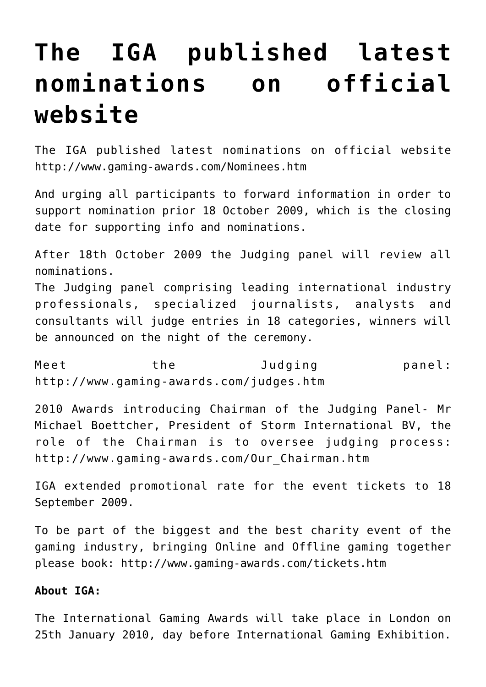## **[The IGA published latest](https://www.isa-guide.de/english-news/articles/26921.html) [nominations on official](https://www.isa-guide.de/english-news/articles/26921.html) [website](https://www.isa-guide.de/english-news/articles/26921.html)**

The IGA published latest nominations on official website <http://www.gaming-awards.com/Nominees.htm>

And urging all participants to forward information in order to support nomination prior 18 October 2009, which is the closing date for supporting info and nominations.

After 18th October 2009 the Judging panel will review all nominations.

The Judging panel comprising leading international industry professionals, specialized journalists, analysts and consultants will judge entries in 18 categories, winners will be announced on the night of the ceremony.

Meet the Judging panel: <http://www.gaming-awards.com/judges.htm>

2010 Awards introducing Chairman of the Judging Panel- Mr Michael Boettcher, President of Storm International BV, the role of the Chairman is to oversee judging process: [http://www.gaming-awards.com/Our\\_Chairman.htm](http://www.gaming-awards.com/Our_Chairman.htm)

IGA extended promotional rate for the event tickets to 18 September 2009.

To be part of the biggest and the best charity event of the gaming industry, bringing Online and Offline gaming together please book:<http://www.gaming-awards.com/tickets.htm>

## **About IGA:**

The International Gaming Awards will take place in London on 25th January 2010, day before International Gaming Exhibition.